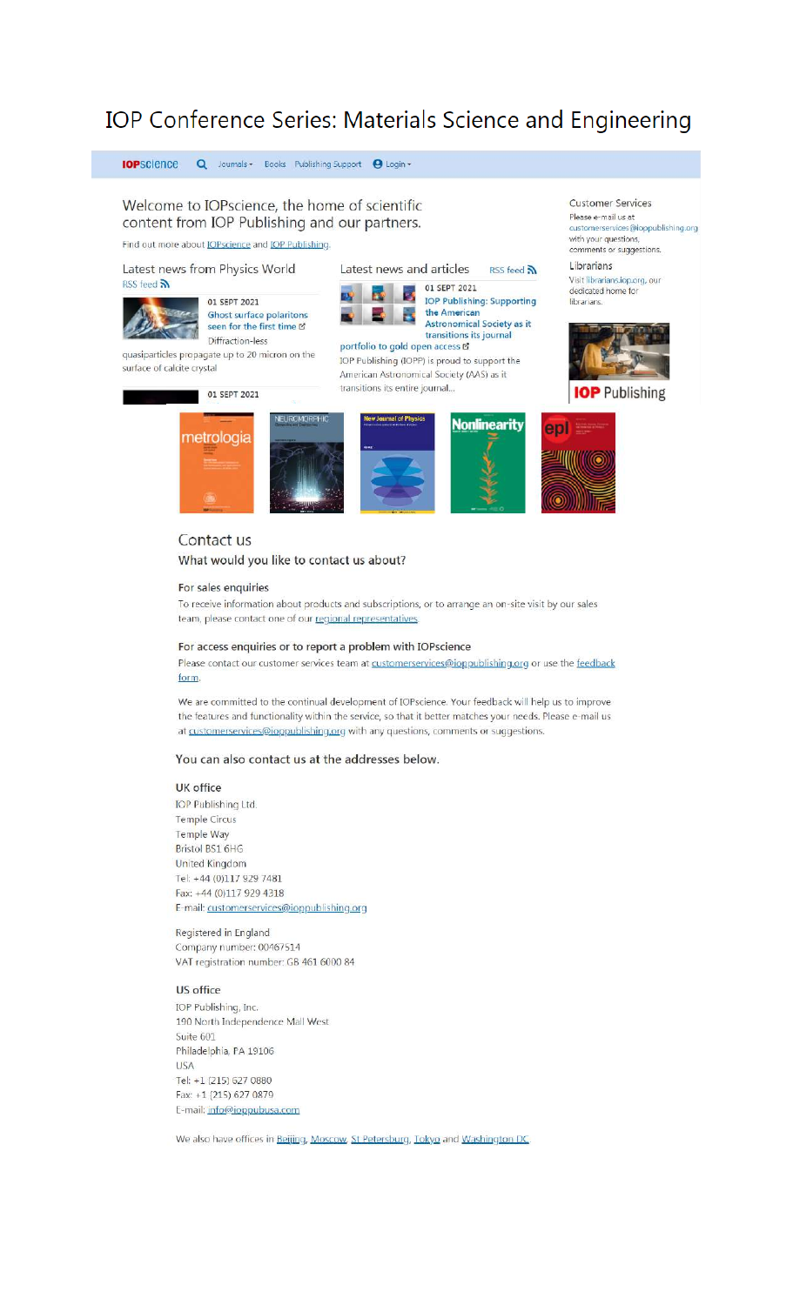# IOP Conference Series: Materials Science and Engineering



#### For sales enquiries

To receive information about products and subscriptions, or to arrange an on-site visit by our sales team, please contact one of our regional representatives.

## For access enquiries or to report a problem with IOPscience

Please contact our customer services team at customerservices@ioppublishing.org or use the feedback form.

We are committed to the continual development of IOPscience. Your feedback will help us to improve the features and functionality within the service, so that it better matches your needs. Please e-mail us at customerservices@ioppublishing.org with any questions, comments or suggestions.

## You can also contact us at the addresses below.

#### **UK** office

**IOP Publishing Ltd.** Temple Circus Temple Way Bristol BS1 6HG **United Kingdom** Tel: +44 (0)117 929 7481 Fax: +44 (0)117 929 4318 E-mail: customerservices@ioppublishing.org

Registered in England Company number: 00467514 VAT registration number: GB 461 6000 84

#### US office

IOP Publishing, Inc. 190 North Independence Mall West Suite 601 Philadelphia, PA 19106 **USA** Tel: +1 (215) 627 0880 Fax: +1 (215) 627 0879 E-mail: info@ioppubusa.com

We also have offices in Beijing, Moscow, St Petersburg, Tokyo and Washington DC.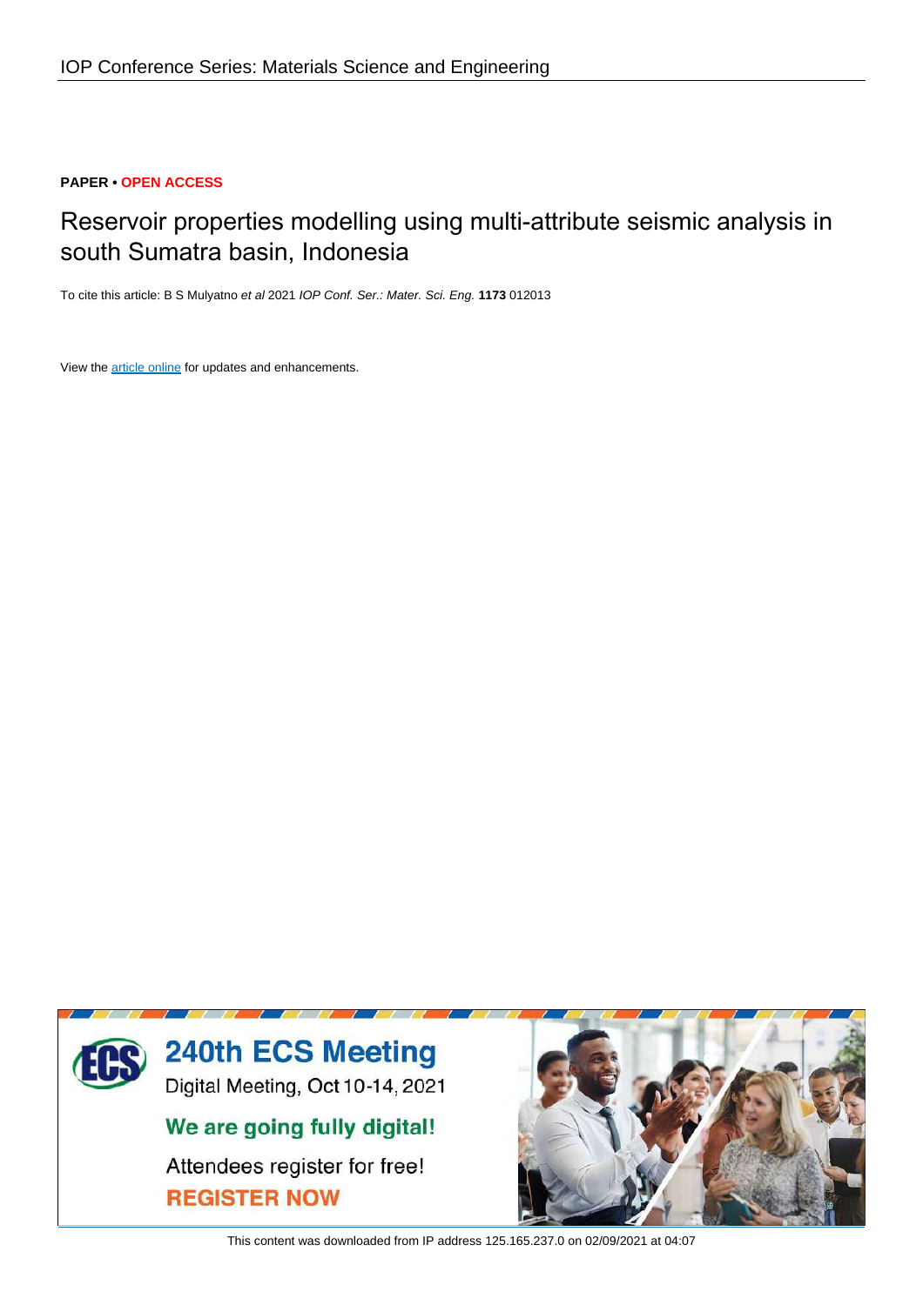## **PAPER • OPEN ACCESS**

# Reservoir properties modelling using multi-attribute seismic analysis in south Sumatra basin, Indonesia

To cite this article: B S Mulyatno et al 2021 IOP Conf. Ser.: Mater. Sci. Eng. 1173 012013

View the article online for updates and enhancements.



This content was downloaded from IP address 125,165,237.0 on 02/09/2021 at 04:07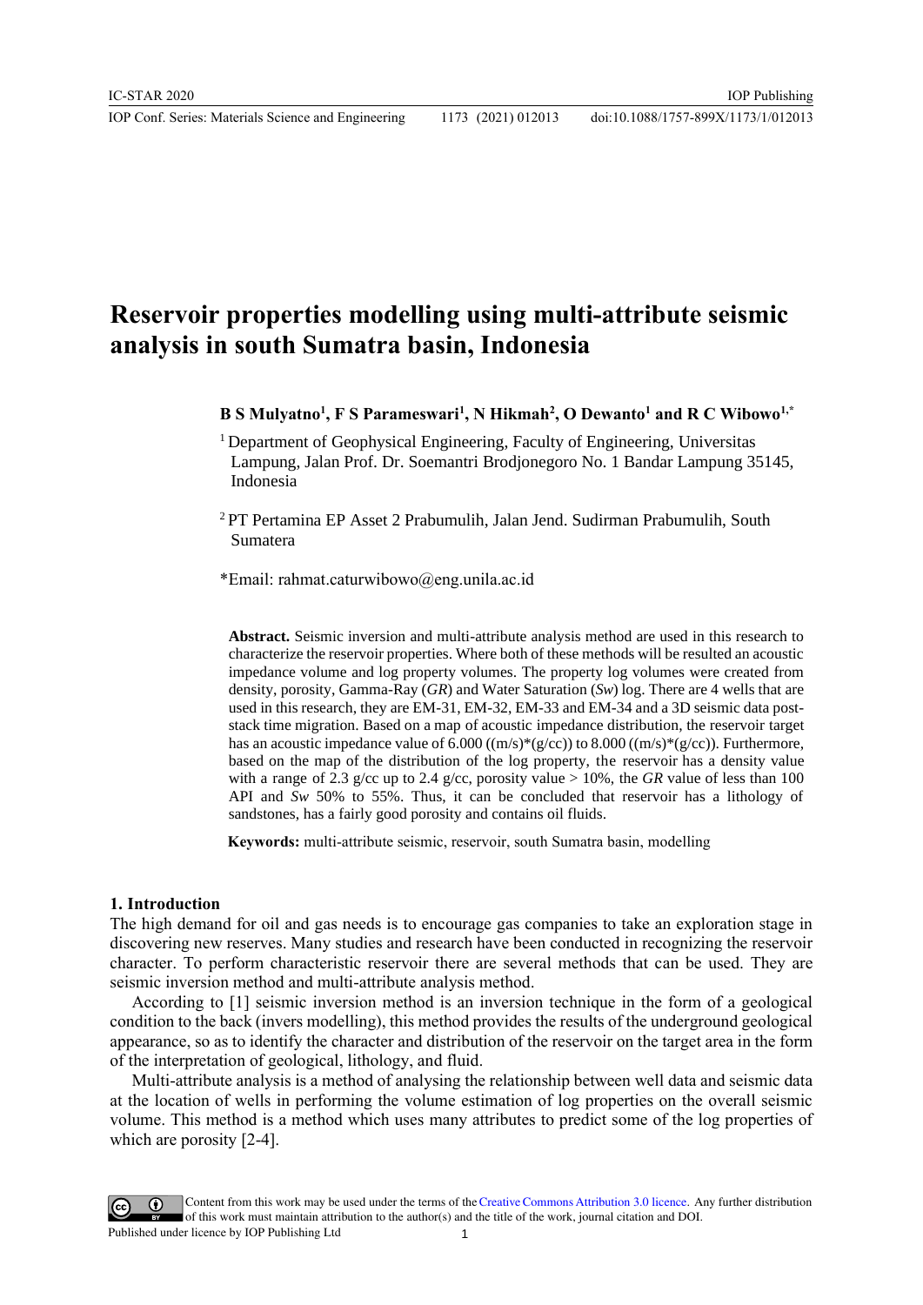IOP Conf. Series: Materials Science and Engineering 1173 (2021) 012013

# **Reservoir properties modelling using multi-attribute seismic analysis in south Sumatra basin, Indonesia**

**B S Mulyatno<sup>1</sup> , F S Parameswari<sup>1</sup> , N Hikmah<sup>2</sup> , O Dewanto<sup>1</sup> and R C Wibowo1,\***

<sup>1</sup> Department of Geophysical Engineering, Faculty of Engineering, Universitas Lampung, Jalan Prof. Dr. Soemantri Brodjonegoro No. 1 Bandar Lampung 35145, Indonesia

<sup>2</sup>PT Pertamina EP Asset 2 Prabumulih, Jalan Jend. Sudirman Prabumulih, South Sumatera

\*Email: rahmat.caturwibowo@eng.unila.ac.id

**Abstract.** Seismic inversion and multi-attribute analysis method are used in this research to characterize the reservoir properties. Where both of these methods will be resulted an acoustic impedance volume and log property volumes. The property log volumes were created from density, porosity, Gamma-Ray (*GR*) and Water Saturation (*Sw*) log. There are 4 wells that are used in this research, they are EM-31, EM-32, EM-33 and EM-34 and a 3D seismic data poststack time migration. Based on a map of acoustic impedance distribution, the reservoir target has an acoustic impedance value of 6.000  $((m/s)*(g/cc))$  to 8.000  $((m/s)*(g/cc))$ . Furthermore, based on the map of the distribution of the log property, the reservoir has a density value with a range of 2.3 g/cc up to 2.4 g/cc, porosity value > 10%, the *GR* value of less than 100 API and *Sw* 50% to 55%. Thus, it can be concluded that reservoir has a lithology of sandstones, has a fairly good porosity and contains oil fluids.

 **Keywords:** multi-attribute seismic, reservoir, south Sumatra basin, modelling

### **1. Introduction**

The high demand for oil and gas needs is to encourage gas companies to take an exploration stage in discovering new reserves. Many studies and research have been conducted in recognizing the reservoir character. To perform characteristic reservoir there are several methods that can be used. They are seismic inversion method and multi-attribute analysis method.

According to [1] seismic inversion method is an inversion technique in the form of a geological condition to the back (invers modelling), this method provides the results of the underground geological appearance, so as to identify the character and distribution of the reservoir on the target area in the form of the interpretation of geological, lithology, and fluid.

Multi-attribute analysis is a method of analysing the relationship between well data and seismic data at the location of wells in performing the volume estimation of log properties on the overall seismic volume. This method is a method which uses many attributes to predict some of the log properties of which are porosity [2-4].

Content from this work may be used under the terms of theCreative Commons Attribution 3.0 licence. Any further distribution of this work must maintain attribution to the author(s) and the title of the work, journal citation and DOI. Published under licence by IOP Publishing Ltd 1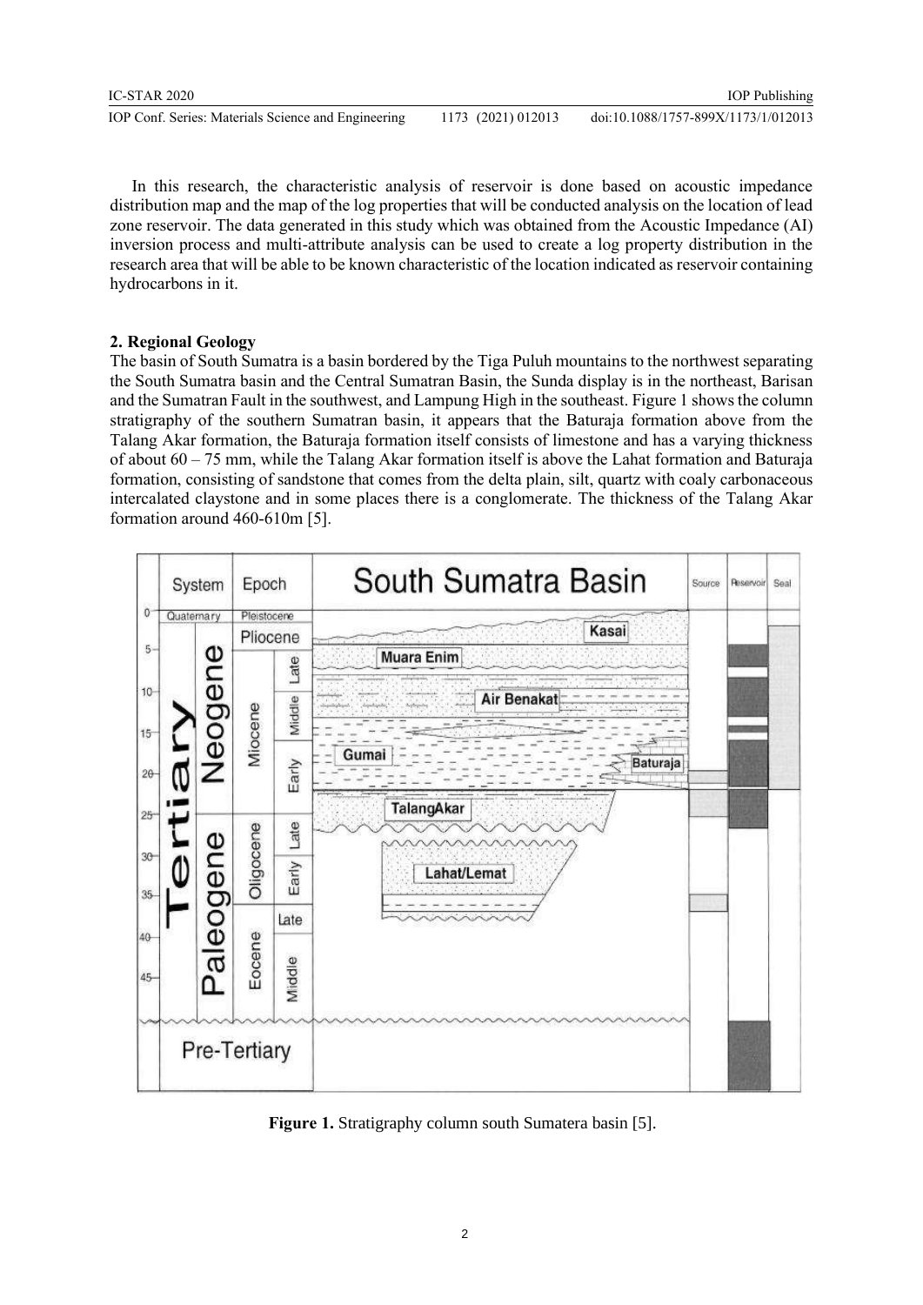In this research, the characteristic analysis of reservoir is done based on acoustic impedance distribution map and the map of the log properties that will be conducted analysis on the location of lead zone reservoir. The data generated in this study which was obtained from the Acoustic Impedance (AI) inversion process and multi-attribute analysis can be used to create a log property distribution in the research area that will be able to be known characteristic of the location indicated as reservoir containing hydrocarbons in it.

# **2. Regional Geology**

The basin of South Sumatra is a basin bordered by the Tiga Puluh mountains to the northwest separating the South Sumatra basin and the Central Sumatran Basin, the Sunda display is in the northeast, Barisan and the Sumatran Fault in the southwest, and Lampung High in the southeast. Figure 1 shows the column stratigraphy of the southern Sumatran basin, it appears that the Baturaja formation above from the Talang Akar formation, the Baturaja formation itself consists of limestone and has a varying thickness of about  $60 - 75$  mm, while the Talang Akar formation itself is above the Lahat formation and Baturaja formation, consisting of sandstone that comes from the delta plain, silt, quartz with coaly carbonaceous intercalated claystone and in some places there is a conglomerate. The thickness of the Talang Akar formation around 460-610m [5].



**Figure 1.** Stratigraphy column south Sumatera basin [5].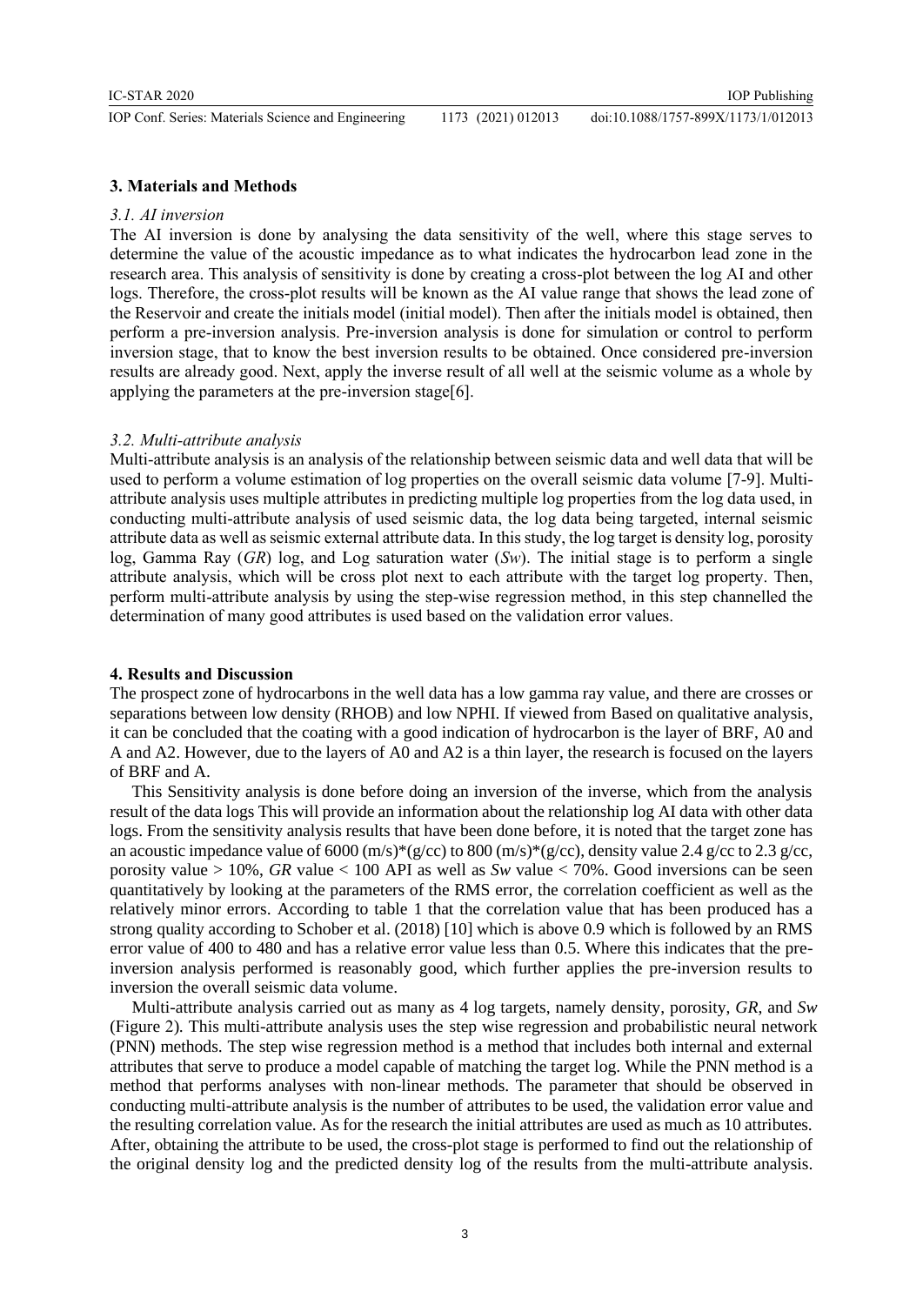IOP Conf. Series: Materials Science and Engineering 1173 (2021) 012013

## **3. Materials and Methods**

### *3.1. AI inversion*

The AI inversion is done by analysing the data sensitivity of the well, where this stage serves to determine the value of the acoustic impedance as to what indicates the hydrocarbon lead zone in the research area. This analysis of sensitivity is done by creating a cross-plot between the log AI and other logs. Therefore, the cross-plot results will be known as the AI value range that shows the lead zone of the Reservoir and create the initials model (initial model). Then after the initials model is obtained, then perform a pre-inversion analysis. Pre-inversion analysis is done for simulation or control to perform inversion stage, that to know the best inversion results to be obtained. Once considered pre-inversion results are already good. Next, apply the inverse result of all well at the seismic volume as a whole by applying the parameters at the pre-inversion stage[6].

#### *3.2. Multi-attribute analysis*

Multi-attribute analysis is an analysis of the relationship between seismic data and well data that will be used to perform a volume estimation of log properties on the overall seismic data volume [7-9]. Multiattribute analysis uses multiple attributes in predicting multiple log properties from the log data used, in conducting multi-attribute analysis of used seismic data, the log data being targeted, internal seismic attribute data as well as seismic external attribute data. In this study, the log target is density log, porosity log, Gamma Ray (*GR*) log, and Log saturation water (*Sw*). The initial stage is to perform a single attribute analysis, which will be cross plot next to each attribute with the target log property. Then, perform multi-attribute analysis by using the step-wise regression method, in this step channelled the determination of many good attributes is used based on the validation error values.

### **4. Results and Discussion**

The prospect zone of hydrocarbons in the well data has a low gamma ray value, and there are crosses or separations between low density (RHOB) and low NPHI. If viewed from Based on qualitative analysis, it can be concluded that the coating with a good indication of hydrocarbon is the layer of BRF, A0 and A and A2. However, due to the layers of A0 and A2 is a thin layer, the research is focused on the layers of BRF and A.

This Sensitivity analysis is done before doing an inversion of the inverse, which from the analysis result of the data logs This will provide an information about the relationship log AI data with other data logs. From the sensitivity analysis results that have been done before, it is noted that the target zone has an acoustic impedance value of 6000 (m/s)\*(g/cc) to 800 (m/s)\*(g/cc), density value 2.4 g/cc to 2.3 g/cc, porosity value > 10%, *GR* value < 100 API as well as *Sw* value < 70%. Good inversions can be seen quantitatively by looking at the parameters of the RMS error, the correlation coefficient as well as the relatively minor errors. According to table 1 that the correlation value that has been produced has a strong quality according to Schober et al. (2018) [10] which is above 0.9 which is followed by an RMS error value of 400 to 480 and has a relative error value less than 0.5. Where this indicates that the preinversion analysis performed is reasonably good, which further applies the pre-inversion results to inversion the overall seismic data volume.

Multi-attribute analysis carried out as many as 4 log targets, namely density, porosity, *GR*, and *Sw* (Figure 2)*.* This multi-attribute analysis uses the step wise regression and probabilistic neural network (PNN) methods. The step wise regression method is a method that includes both internal and external attributes that serve to produce a model capable of matching the target log. While the PNN method is a method that performs analyses with non-linear methods. The parameter that should be observed in conducting multi-attribute analysis is the number of attributes to be used, the validation error value and the resulting correlation value. As for the research the initial attributes are used as much as 10 attributes. After, obtaining the attribute to be used, the cross-plot stage is performed to find out the relationship of the original density log and the predicted density log of the results from the multi-attribute analysis.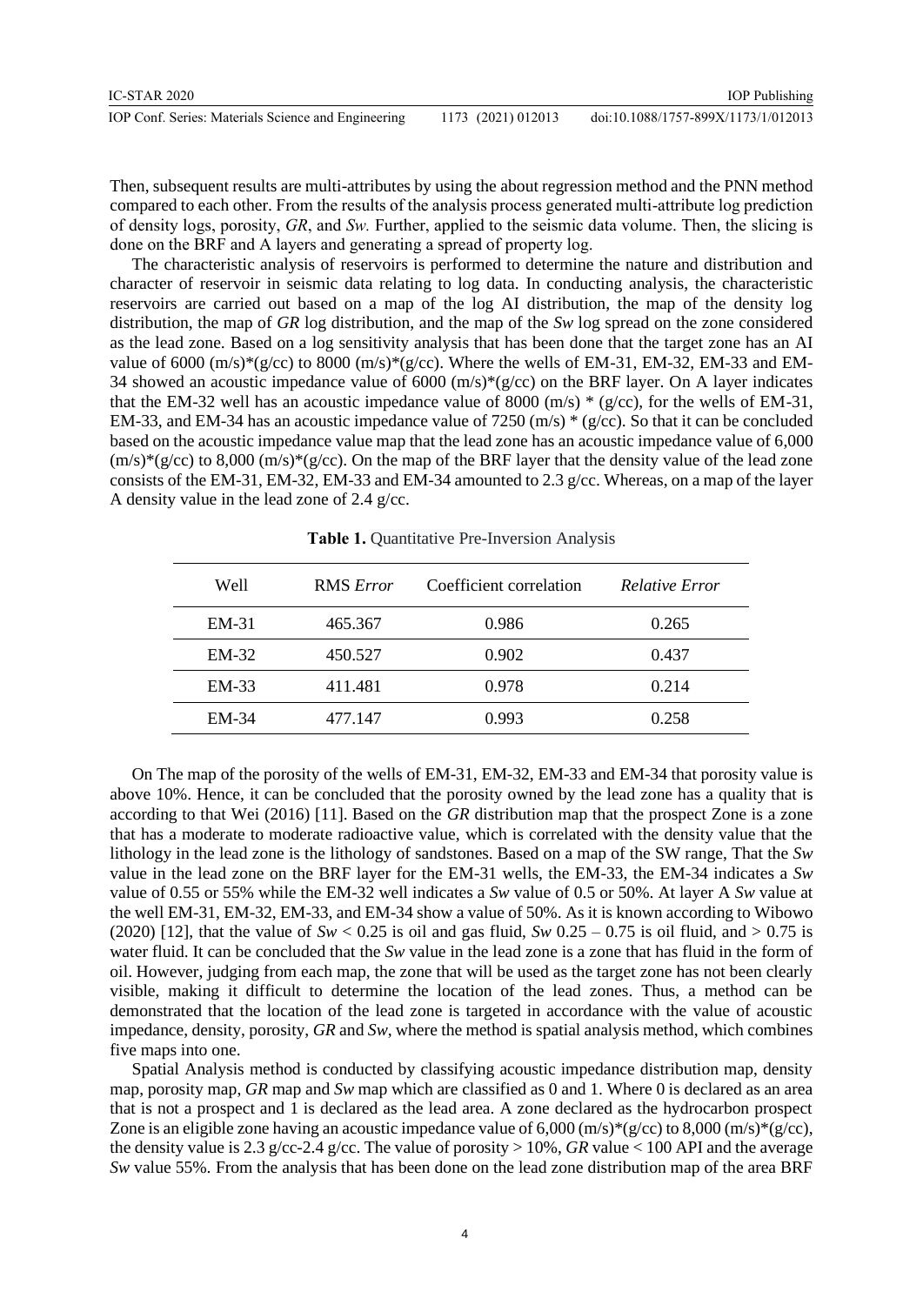| IC-STAR 2020                                        |                    | <b>IOP</b> Publishing               |
|-----------------------------------------------------|--------------------|-------------------------------------|
| IOP Conf. Series: Materials Science and Engineering | 1173 (2021) 012013 | doi:10.1088/1757-899X/1173/1/012013 |

Then, subsequent results are multi-attributes by using the about regression method and the PNN method compared to each other. From the results of the analysis process generated multi-attribute log prediction of density logs, porosity, *GR*, and *Sw.* Further, applied to the seismic data volume. Then, the slicing is done on the BRF and A layers and generating a spread of property log.

The characteristic analysis of reservoirs is performed to determine the nature and distribution and character of reservoir in seismic data relating to log data. In conducting analysis, the characteristic reservoirs are carried out based on a map of the log AI distribution, the map of the density log distribution, the map of *GR* log distribution, and the map of the *Sw* log spread on the zone considered as the lead zone. Based on a log sensitivity analysis that has been done that the target zone has an AI value of 6000  $(m/s)*(g/cc)$  to 8000  $(m/s)*(g/cc)$ . Where the wells of EM-31, EM-32, EM-33 and EM-34 showed an acoustic impedance value of 6000 (m/s)\*(g/cc) on the BRF layer. On A layer indicates that the EM-32 well has an acoustic impedance value of 8000 (m/s)  $*(g/cc)$ , for the wells of EM-31, EM-33, and EM-34 has an acoustic impedance value of 7250 (m/s)  $*(g/cc)$ . So that it can be concluded based on the acoustic impedance value map that the lead zone has an acoustic impedance value of 6,000  $(m/s)*(g/cc)$  to 8,000  $(m/s)*(g/cc)$ . On the map of the BRF layer that the density value of the lead zone consists of the EM-31, EM-32, EM-33 and EM-34 amounted to 2.3 g/cc. Whereas, on a map of the layer A density value in the lead zone of 2.4 g/cc.

| Well    | <b>RMS</b> Error | Coefficient correlation | <b>Relative Error</b> |
|---------|------------------|-------------------------|-----------------------|
| $EM-31$ | 465.367          | 0.986                   | 0.265                 |
| $EM-32$ | 450.527          | 0.902                   | 0.437                 |
| $EM-33$ | 411.481          | 0.978                   | 0.214                 |
| $EM-34$ | 477.147          | 0.993                   | 0.258                 |

**Table 1.** Quantitative Pre-Inversion Analysis

On The map of the porosity of the wells of EM-31, EM-32, EM-33 and EM-34 that porosity value is above 10%. Hence, it can be concluded that the porosity owned by the lead zone has a quality that is according to that Wei (2016) [11]. Based on the *GR* distribution map that the prospect Zone is a zone that has a moderate to moderate radioactive value, which is correlated with the density value that the lithology in the lead zone is the lithology of sandstones. Based on a map of the SW range, That the *Sw* value in the lead zone on the BRF layer for the EM-31 wells, the EM-33, the EM-34 indicates a *Sw* value of 0.55 or 55% while the EM-32 well indicates a *Sw* value of 0.5 or 50%. At layer A *Sw* value at the well EM-31, EM-32, EM-33, and EM-34 show a value of 50%. As it is known according to Wibowo (2020) [12], that the value of  $Sw < 0.25$  is oil and gas fluid,  $Sw 0.25 - 0.75$  is oil fluid, and  $> 0.75$  is water fluid. It can be concluded that the *Sw* value in the lead zone is a zone that has fluid in the form of oil. However, judging from each map, the zone that will be used as the target zone has not been clearly visible, making it difficult to determine the location of the lead zones. Thus, a method can be demonstrated that the location of the lead zone is targeted in accordance with the value of acoustic impedance, density, porosity, *GR* and *Sw*, where the method is spatial analysis method, which combines five maps into one.

Spatial Analysis method is conducted by classifying acoustic impedance distribution map, density map, porosity map, *GR* map and *Sw* map which are classified as 0 and 1. Where 0 is declared as an area that is not a prospect and 1 is declared as the lead area. A zone declared as the hydrocarbon prospect Zone is an eligible zone having an acoustic impedance value of  $6,000$  (m/s)\*(g/cc) to  $8,000$  (m/s)\*(g/cc), the density value is 2.3 g/cc-2.4 g/cc. The value of porosity  $> 10\%$ , *GR* value  $< 100$  API and the average *Sw* value 55%. From the analysis that has been done on the lead zone distribution map of the area BRF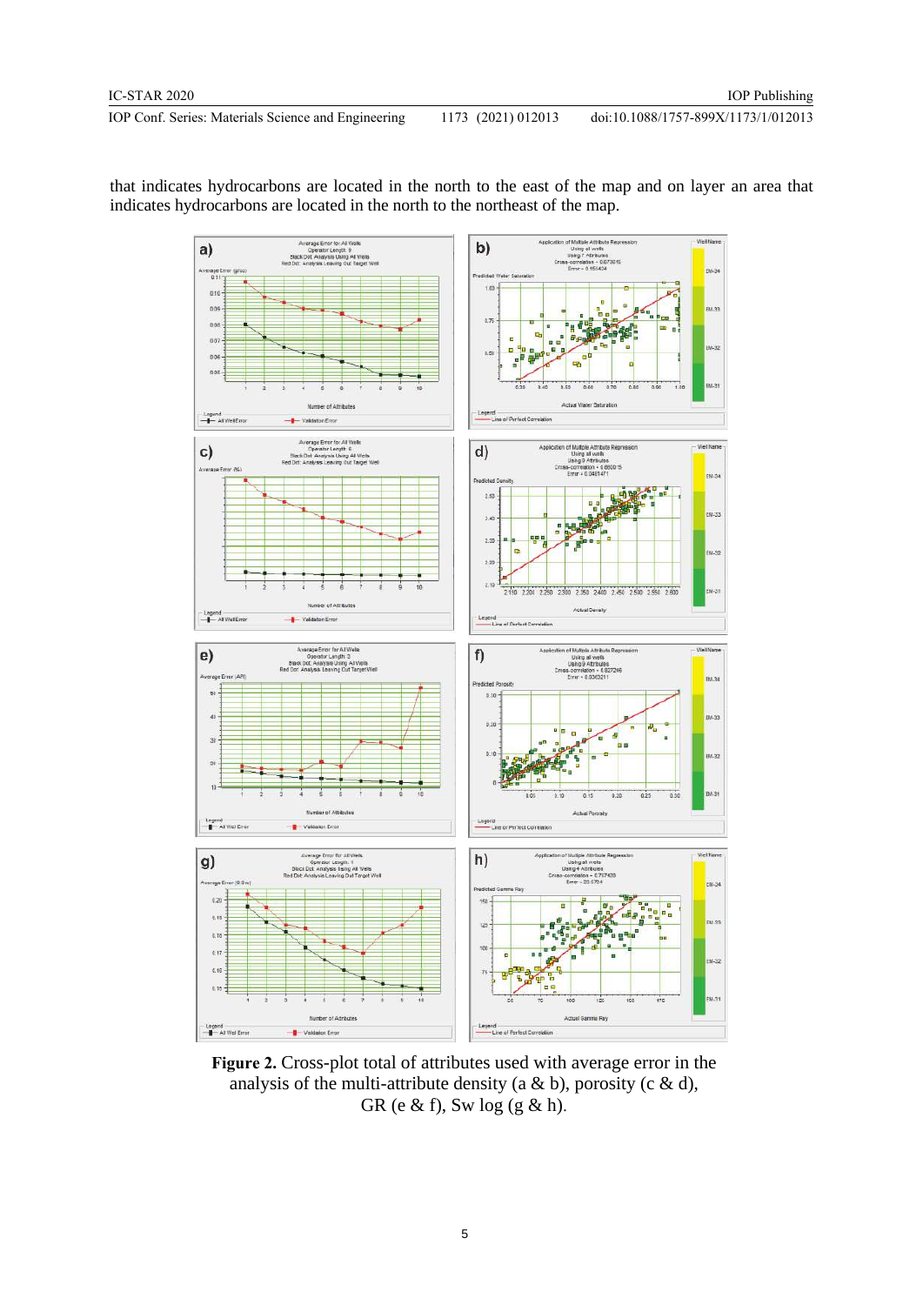doi:10.1088/1757-899X/1173/1/012013



that indicates hydrocarbons are located in the north to the east of the map and on layer an area that indicates hydrocarbons are located in the north to the northeast of the map.

**Figure 2.** Cross-plot total of attributes used with average error in the analysis of the multi-attribute density (a & b), porosity (c & d), GR (e  $\&$  f), Sw log (g  $\&$  h).